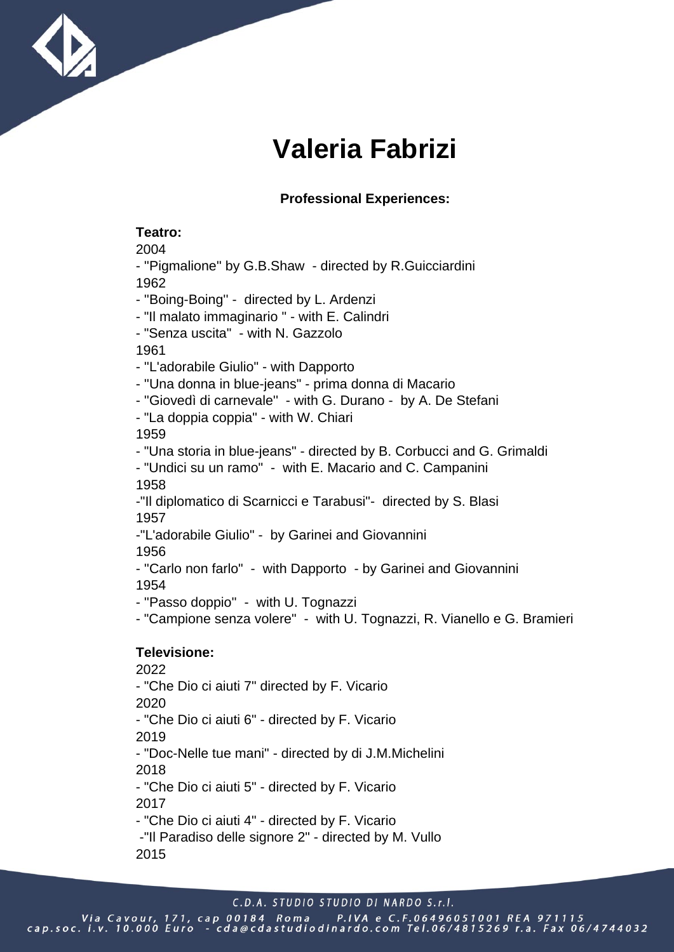

# **Valeria Fabrizi**

### **Professional Experiences:**

#### **Teatro:**

2004

- ''Pigmalione'' by G.B.Shaw - directed by R.Guicciardini 1962

- ''Boing-Boing'' directed by L. Ardenzi
- "Il malato immaginario " with E. Calindri
- "Senza uscita" with N. Gazzolo

1961

- ''L'adorabile Giulio" - with Dapporto

- ''Una donna in blue-jeans" - prima donna di Macario

- ''Giovedì di carnevale'' - with G. Durano - by A. De Stefani

- "La doppia coppia" - with W. Chiari

1959

- "Una storia in blue-jeans" - directed by B. Corbucci and G. Grimaldi

- "Undici su un ramo" - with E. Macario and C. Campanini 1958

-"Il diplomatico di Scarnicci e Tarabusi"- directed by S. Blasi 1957

-"L'adorabile Giulio" - by Garinei and Giovannini

1956

```
- ''Carlo non farlo" - with Dapporto - by Garinei and Giovannini
1954
```
- ''Passo doppio'' - with U. Tognazzi

- "Campione senza volere" - with U. Tognazzi, R. Vianello e G. Bramieri

# **Televisione:**

2022 - "Che Dio ci aiuti 7" directed by F. Vicario 2020 - "Che Dio ci aiuti 6" - directed by F. Vicario 2019 - "Doc-Nelle tue mani" - directed by di J.M.Michelini 2018 - "Che Dio ci aiuti 5" - directed by F. Vicario 2017 - "Che Dio ci aiuti 4" - directed by F. Vicario -"Il Paradiso delle signore 2" - directed by M. Vullo 2015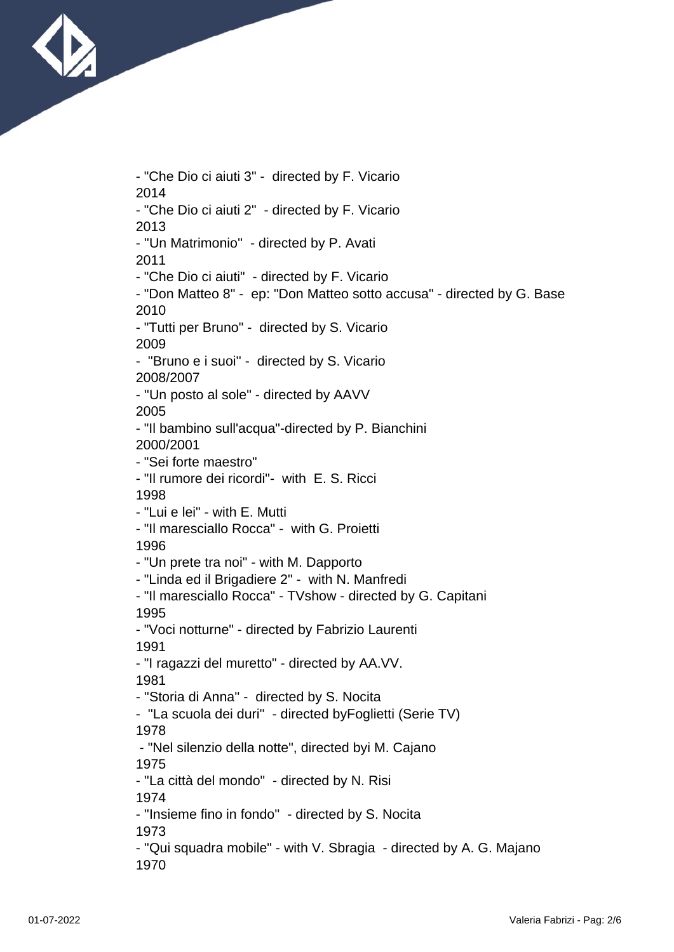

- "Che Dio ci aiuti 3" - directed by F. Vicario 2014 - "Che Dio ci aiuti 2" - directed by F. Vicario 2013 - ''Un Matrimonio'' - directed by P. Avati 2011 - "Che Dio ci aiuti" - directed by F. Vicario - "Don Matteo 8" - ep: "Don Matteo sotto accusa" - directed by G. Base 2010 - "Tutti per Bruno" - directed by S. Vicario 2009 - ''Bruno e i suoi'' - directed by S. Vicario 2008/2007 - ''Un posto al sole" - directed by AAVV 2005 - "Il bambino sull'acqua"-directed by P. Bianchini 2000/2001 - "Sei forte maestro" - "Il rumore dei ricordi"- with E. S. Ricci 1998 - "Lui e lei" - with E. Mutti - "Il maresciallo Rocca" - with G. Proietti 1996 - "Un prete tra noi" - with M. Dapporto - "Linda ed il Brigadiere 2" - with N. Manfredi - "Il maresciallo Rocca" - TVshow - directed by G. Capitani 1995 - "Voci notturne" - directed by Fabrizio Laurenti 1991 - "I ragazzi del muretto" - directed by AA.VV. 1981 - ''Storia di Anna'' - directed by S. Nocita - ''La scuola dei duri'' - directed byFoglietti (Serie TV) 1978 - "Nel silenzio della notte", directed byi M. Cajano 1975 - ''La città del mondo" - directed by N. Risi 1974 - ''Insieme fino in fondo'' - directed by S. Nocita 1973 - ''Qui squadra mobile" - with V. Sbragia - directed by A. G. Majano 1970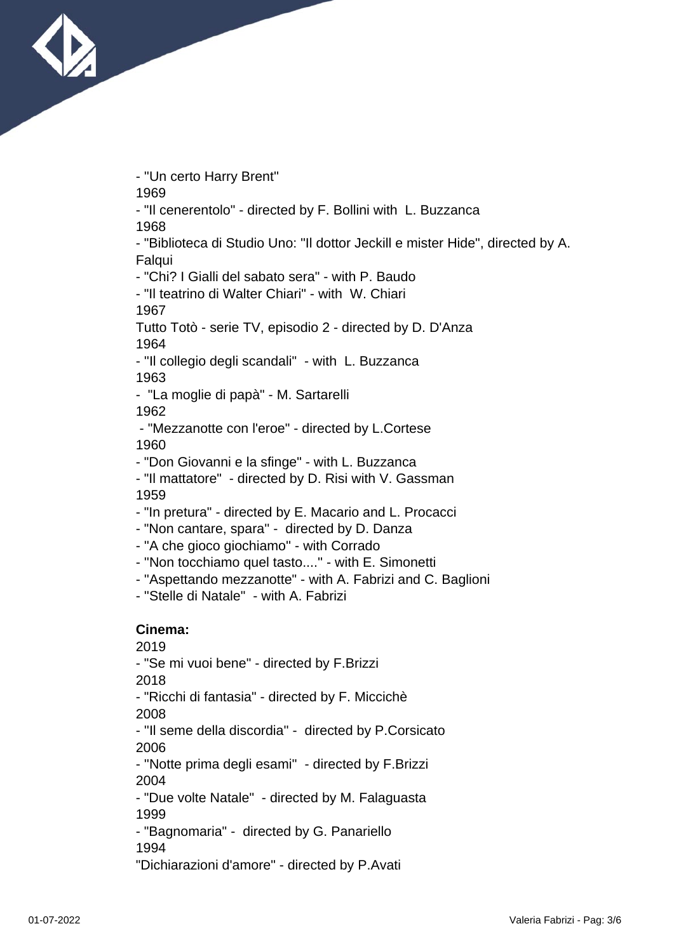

- ''Un certo Harry Brent''

1969

- "Il cenerentolo" - directed by F. Bollini with L. Buzzanca 1968

- "Biblioteca di Studio Uno: "Il dottor Jeckill e mister Hide", directed by A. Falqui

- "Chi? I Gialli del sabato sera" - with P. Baudo

- "Il teatrino di Walter Chiari" - with W. Chiari 1967

Tutto Totò - serie TV, episodio 2 - directed by D. D'Anza 1964

- ''Il collegio degli scandali" - with L. Buzzanca 1963

- "La moglie di papà" - M. Sartarelli

1962

 - "Mezzanotte con l'eroe" - directed by L.Cortese 1960

- "Don Giovanni e la sfinge" - with L. Buzzanca

- "Il mattatore" - directed by D. Risi with V. Gassman 1959

- "In pretura" - directed by E. Macario and L. Procacci

- "Non cantare, spara'' - directed by D. Danza

- ''A che gioco giochiamo'' - with Corrado

- ''Non tocchiamo quel tasto....'' - with E. Simonetti

- ''Aspettando mezzanotte" - with A. Fabrizi and C. Baglioni

- ''Stelle di Natale" - with A. Fabrizi

## **Cinema:**

2019

- "Se mi vuoi bene" - directed by F.Brizzi

2018

- "Ricchi di fantasia" - directed by F. Miccichè

2008

- ''Il seme della discordia'' - directed by P.Corsicato 2006

- ''Notte prima degli esami'' - directed by F.Brizzi 2004

- "Due volte Natale" - directed by M. Falaguasta 1999

- "Bagnomaria" - directed by G. Panariello

1994

"Dichiarazioni d'amore" - directed by P.Avati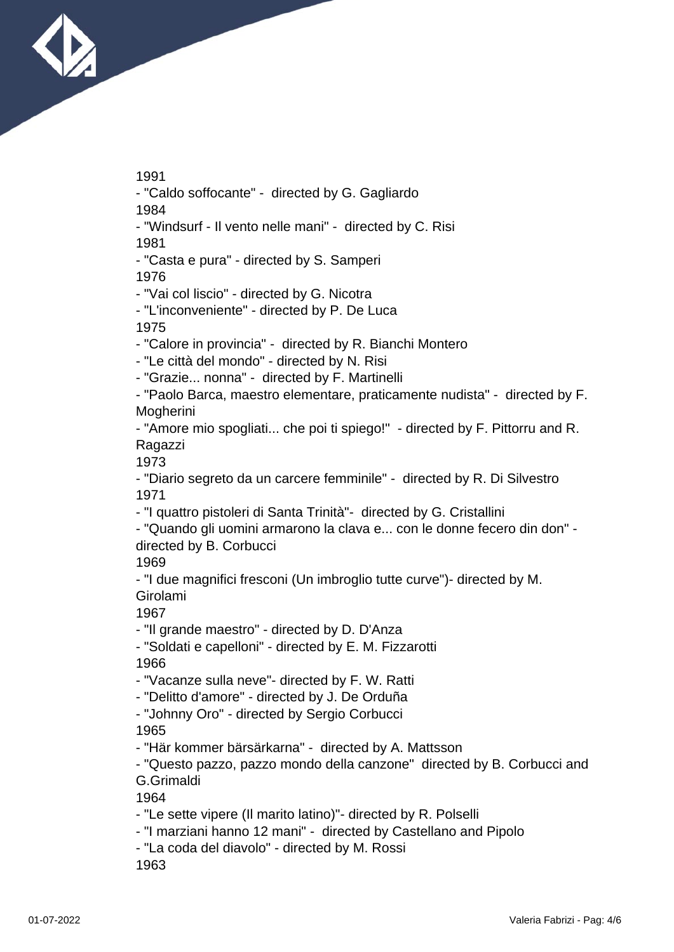

1991

- "Caldo soffocante" - directed by G. Gagliardo

1984

- "Windsurf - Il vento nelle mani" - directed by C. Risi 1981

- "Casta e pura" - directed by S. Samperi

1976

- "Vai col liscio" - directed by G. Nicotra

- "L'inconveniente" - directed by P. De Luca

1975

- "Calore in provincia" - directed by R. Bianchi Montero

- "Le città del mondo" - directed by N. Risi

- "Grazie... nonna" - directed by F. Martinelli

- "Paolo Barca, maestro elementare, praticamente nudista" - directed by F. **Mogherini** 

- "Amore mio spogliati... che poi ti spiego!" - directed by F. Pittorru and R. Ragazzi

1973

- "Diario segreto da un carcere femminile" - directed by R. Di Silvestro 1971

- "I quattro pistoleri di Santa Trinità"- directed by G. Cristallini

- "Quando gli uomini armarono la clava e... con le donne fecero din don" directed by B. Corbucci

1969

- "I due magnifici fresconi (Un imbroglio tutte curve")- directed by M. Girolami

1967

- "Il grande maestro" - directed by D. D'Anza

- "Soldati e capelloni" - directed by E. M. Fizzarotti

1966

- "Vacanze sulla neve"- directed by F. W. Ratti

- "Delitto d'amore" - directed by J. De Orduña

- "Johnny Oro" - directed by Sergio Corbucci 1965

- "Här kommer bärsärkarna" - directed by A. Mattsson

1964

- "Le sette vipere (Il marito latino)"- directed by R. Polselli

- "I marziani hanno 12 mani" directed by Castellano and Pipolo
- "La coda del diavolo" directed by M. Rossi

1963

<sup>- &</sup>quot;Questo pazzo, pazzo mondo della canzone" directed by B. Corbucci and G.Grimaldi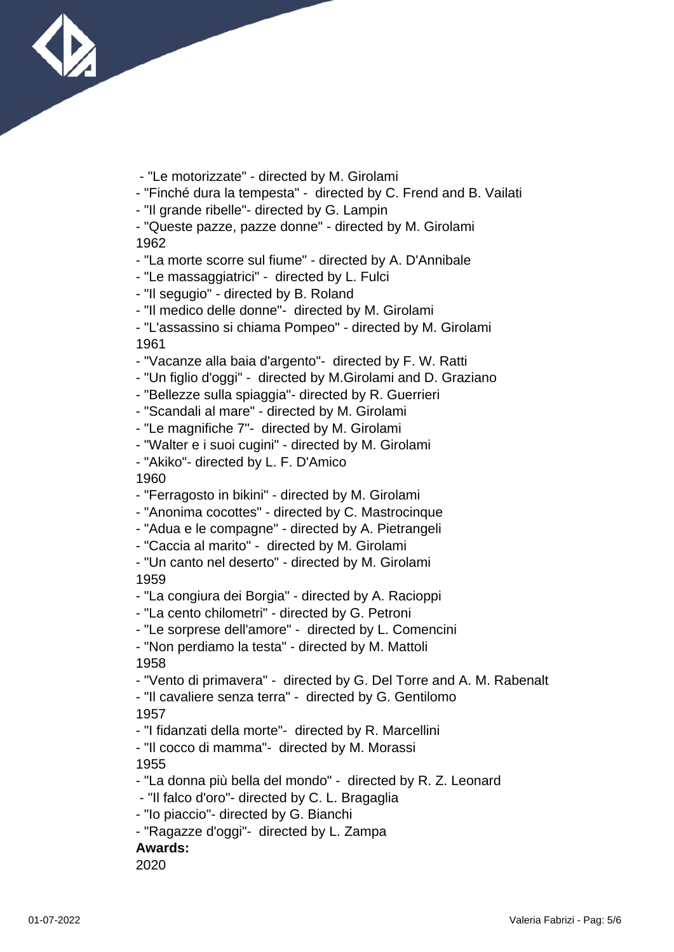

- "Le motorizzate" - directed by M. Girolami

- "Finché dura la tempesta" - directed by C. Frend and B. Vailati

- "Il grande ribelle"- directed by G. Lampin

- "Queste pazze, pazze donne" - directed by M. Girolami 1962

- "La morte scorre sul fiume" - directed by A. D'Annibale

- "Le massaggiatrici" - directed by L. Fulci

- "Il segugio" - directed by B. Roland

- "Il medico delle donne"- directed by M. Girolami

- "L'assassino si chiama Pompeo" - directed by M. Girolami 1961

- "Vacanze alla baia d'argento"- directed by F. W. Ratti

- "Un figlio d'oggi" - directed by M.Girolami and D. Graziano

- "Bellezze sulla spiaggia"- directed by R. Guerrieri

- "Scandali al mare" - directed by M. Girolami

- "Le magnifiche 7"- directed by M. Girolami

- "Walter e i suoi cugini" - directed by M. Girolami

- "Akiko"- directed by L. F. D'Amico

1960

- "Ferragosto in bikini" - directed by M. Girolami

- "Anonima cocottes" - directed by C. Mastrocinque

- "Adua e le compagne" - directed by A. Pietrangeli

- "Caccia al marito" - directed by M. Girolami

- "Un canto nel deserto" - directed by M. Girolami 1959

- "La congiura dei Borgia" - directed by A. Racioppi

- "La cento chilometri" - directed by G. Petroni

- "Le sorprese dell'amore" - directed by L. Comencini

- "Non perdiamo la testa" - directed by M. Mattoli

1958

- "Vento di primavera" - directed by G. Del Torre and A. M. Rabenalt

- "Il cavaliere senza terra" - directed by G. Gentilomo 1957

- "I fidanzati della morte"- directed by R. Marcellini

- "Il cocco di mamma"- directed by M. Morassi

1955

- "La donna più bella del mondo" - directed by R. Z. Leonard

- "Il falco d'oro"- directed by C. L. Bragaglia

- "Io piaccio"- directed by G. Bianchi

- "Ragazze d'oggi"- directed by L. Zampa

**Awards:**

2020